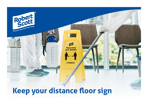